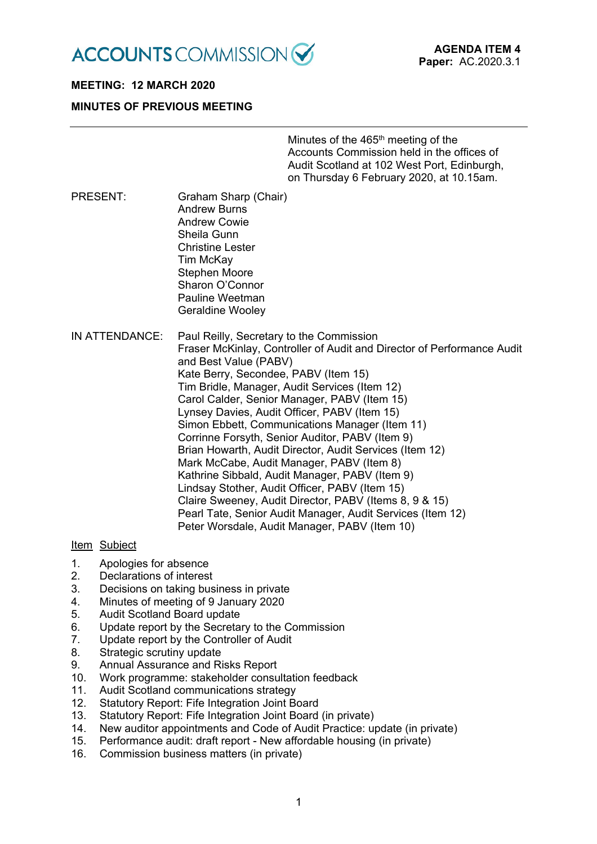

# **MEETING: 12 MARCH 2020**

# **MINUTES OF PREVIOUS MEETING**

Minutes of the 465<sup>th</sup> meeting of the Accounts Commission held in the offices of Audit Scotland at 102 West Port, Edinburgh, on Thursday 6 February 2020, at 10.15am.

- PRESENT: Graham Sharp (Chair) Andrew Burns Andrew Cowie Sheila Gunn Christine Lester Tim McKay Stephen Moore Sharon O'Connor Pauline Weetman Geraldine Wooley
- IN ATTENDANCE: Paul Reilly, Secretary to the Commission Fraser McKinlay, Controller of Audit and Director of Performance Audit and Best Value (PABV) Kate Berry, Secondee, PABV (Item 15) Tim Bridle, Manager, Audit Services (Item 12) Carol Calder, Senior Manager, PABV (Item 15) Lynsey Davies, Audit Officer, PABV (Item 15) Simon Ebbett, Communications Manager (Item 11) Corrinne Forsyth, Senior Auditor, PABV (Item 9) Brian Howarth, Audit Director, Audit Services (Item 12) Mark McCabe, Audit Manager, PABV (Item 8) Kathrine Sibbald, Audit Manager, PABV (Item 9) Lindsay Stother, Audit Officer, PABV (Item 15) Claire Sweeney, Audit Director, PABV (Items 8, 9 & 15) Pearl Tate, Senior Audit Manager, Audit Services (Item 12) Peter Worsdale, Audit Manager, PABV (Item 10)

## Item Subject

- 1. Apologies for absence
- 2. Declarations of interest
- 3. Decisions on taking business in private
- 4. Minutes of meeting of 9 January 2020
- 5. Audit Scotland Board update
- 6. Update report by the Secretary to the Commission
- 7. Update report by the Controller of Audit
- 8. Strategic scrutiny update
- 9. Annual Assurance and Risks Report
- 10. Work programme: stakeholder consultation feedback
- 11. Audit Scotland communications strategy
- 12. Statutory Report: Fife Integration Joint Board
- 13. Statutory Report: Fife Integration Joint Board (in private)
- 14. New auditor appointments and Code of Audit Practice: update (in private)
- 15. Performance audit: draft report New affordable housing (in private)
- 16. Commission business matters (in private)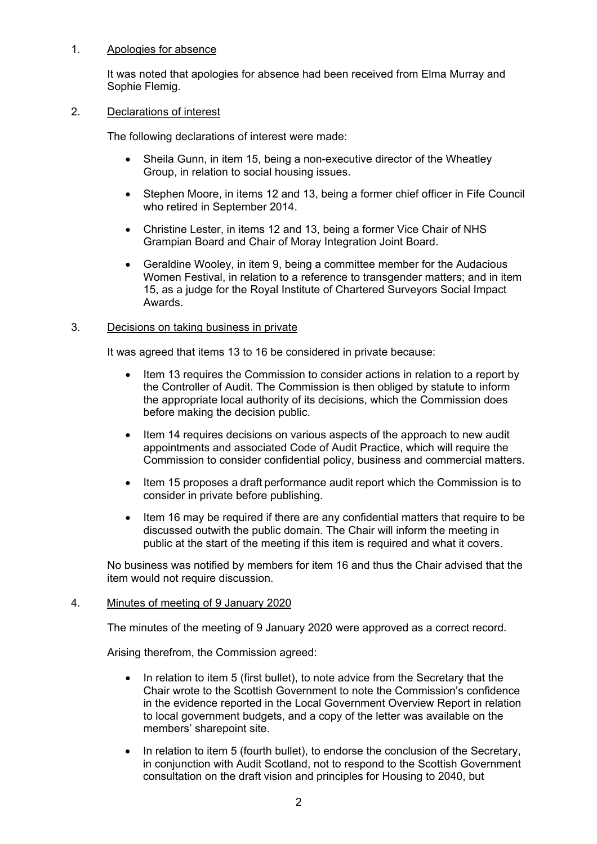## 1. Apologies for absence

It was noted that apologies for absence had been received from Elma Murray and Sophie Flemig.

#### 2. Declarations of interest

The following declarations of interest were made:

- Sheila Gunn, in item 15, being a non-executive director of the Wheatley Group, in relation to social housing issues.
- Stephen Moore, in items 12 and 13, being a former chief officer in Fife Council who retired in September 2014.
- Christine Lester, in items 12 and 13, being a former Vice Chair of NHS Grampian Board and Chair of Moray Integration Joint Board.
- Geraldine Wooley, in item 9, being a committee member for the Audacious Women Festival, in relation to a reference to transgender matters; and in item 15, as a judge for the Royal Institute of Chartered Surveyors Social Impact Awards.

## 3. Decisions on taking business in private

It was agreed that items 13 to 16 be considered in private because:

- Item 13 requires the Commission to consider actions in relation to a report by the Controller of Audit. The Commission is then obliged by statute to inform the appropriate local authority of its decisions, which the Commission does before making the decision public.
- Item 14 requires decisions on various aspects of the approach to new audit appointments and associated Code of Audit Practice, which will require the Commission to consider confidential policy, business and commercial matters.
- Item 15 proposes a draft performance audit report which the Commission is to consider in private before publishing.
- Item 16 may be required if there are any confidential matters that require to be discussed outwith the public domain. The Chair will inform the meeting in public at the start of the meeting if this item is required and what it covers.

No business was notified by members for item 16 and thus the Chair advised that the item would not require discussion.

## 4. Minutes of meeting of 9 January 2020

The minutes of the meeting of 9 January 2020 were approved as a correct record.

Arising therefrom, the Commission agreed:

- In relation to item 5 (first bullet), to note advice from the Secretary that the Chair wrote to the Scottish Government to note the Commission's confidence in the evidence reported in the Local Government Overview Report in relation to local government budgets, and a copy of the letter was available on the members' sharepoint site.
- In relation to item 5 (fourth bullet), to endorse the conclusion of the Secretary, in conjunction with Audit Scotland, not to respond to the Scottish Government consultation on the draft vision and principles for Housing to 2040, but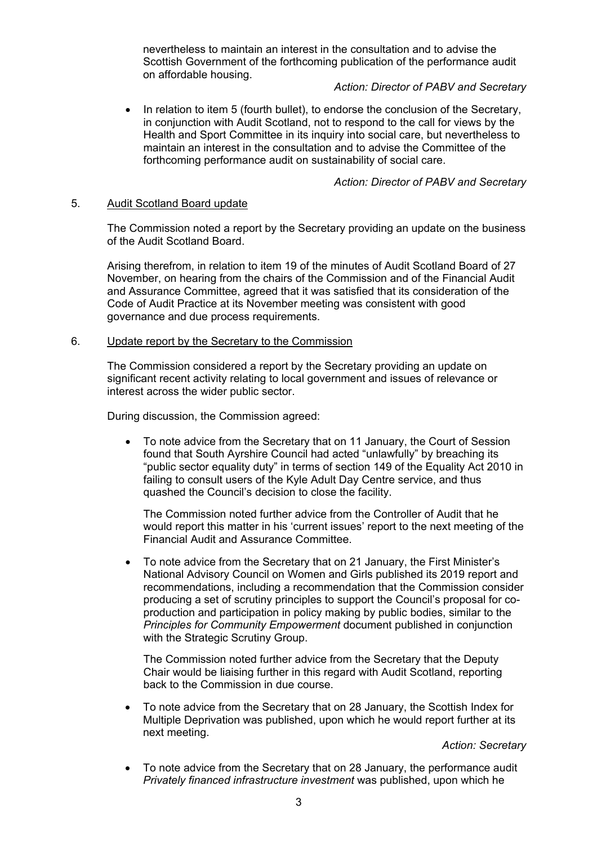nevertheless to maintain an interest in the consultation and to advise the Scottish Government of the forthcoming publication of the performance audit on affordable housing.

## *Action: Director of PABV and Secretary*

 In relation to item 5 (fourth bullet), to endorse the conclusion of the Secretary, in conjunction with Audit Scotland, not to respond to the call for views by the Health and Sport Committee in its inquiry into social care, but nevertheless to maintain an interest in the consultation and to advise the Committee of the forthcoming performance audit on sustainability of social care.

## *Action: Director of PABV and Secretary*

## 5. Audit Scotland Board update

The Commission noted a report by the Secretary providing an update on the business of the Audit Scotland Board.

Arising therefrom, in relation to item 19 of the minutes of Audit Scotland Board of 27 November, on hearing from the chairs of the Commission and of the Financial Audit and Assurance Committee, agreed that it was satisfied that its consideration of the Code of Audit Practice at its November meeting was consistent with good governance and due process requirements.

#### 6. Update report by the Secretary to the Commission

The Commission considered a report by the Secretary providing an update on significant recent activity relating to local government and issues of relevance or interest across the wider public sector.

During discussion, the Commission agreed:

 To note advice from the Secretary that on 11 January, the Court of Session found that South Ayrshire Council had acted "unlawfully" by breaching its "public sector equality duty" in terms of section 149 of the Equality Act 2010 in failing to consult users of the Kyle Adult Day Centre service, and thus quashed the Council's decision to close the facility.

The Commission noted further advice from the Controller of Audit that he would report this matter in his 'current issues' report to the next meeting of the Financial Audit and Assurance Committee.

 To note advice from the Secretary that on 21 January, the First Minister's National Advisory Council on Women and Girls published its 2019 report and recommendations, including a recommendation that the Commission consider producing a set of scrutiny principles to support the Council's proposal for coproduction and participation in policy making by public bodies, similar to the *Principles for Community Empowerment* document published in conjunction with the Strategic Scrutiny Group.

The Commission noted further advice from the Secretary that the Deputy Chair would be liaising further in this regard with Audit Scotland, reporting back to the Commission in due course.

 To note advice from the Secretary that on 28 January, the Scottish Index for Multiple Deprivation was published, upon which he would report further at its next meeting.

*Action: Secretary* 

 To note advice from the Secretary that on 28 January, the performance audit *Privately financed infrastructure investment* was published, upon which he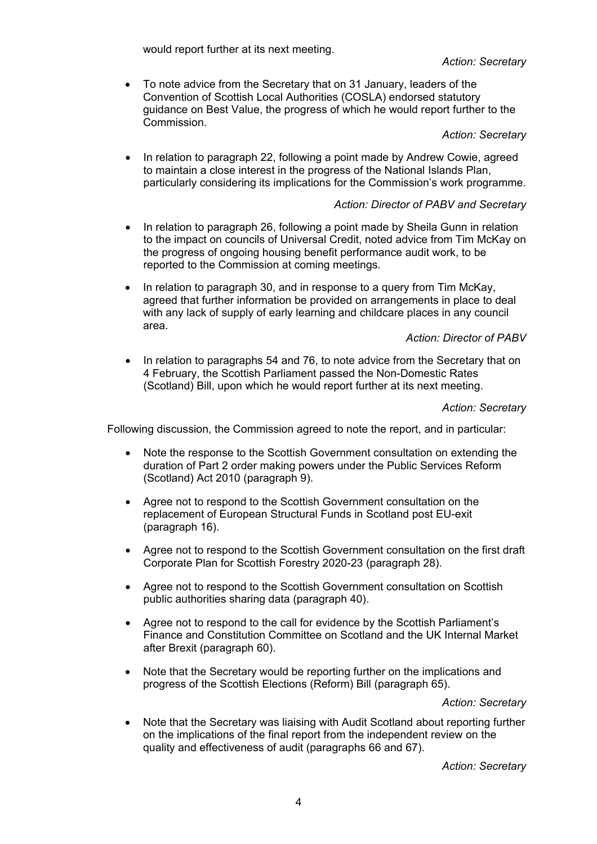would report further at its next meeting.

*Action: Secretary* 

 To note advice from the Secretary that on 31 January, leaders of the Convention of Scottish Local Authorities (COSLA) endorsed statutory guidance on Best Value, the progress of which he would report further to the Commission.

*Action: Secretary* 

 In relation to paragraph 22, following a point made by Andrew Cowie, agreed to maintain a close interest in the progress of the National Islands Plan, particularly considering its implications for the Commission's work programme.

# *Action: Director of PABV and Secretary*

- In relation to paragraph 26, following a point made by Sheila Gunn in relation to the impact on councils of Universal Credit, noted advice from Tim McKay on the progress of ongoing housing benefit performance audit work, to be reported to the Commission at coming meetings.
- $\bullet$  In relation to paragraph 30, and in response to a query from Tim McKay, agreed that further information be provided on arrangements in place to deal with any lack of supply of early learning and childcare places in any council area.

*Action: Director of PABV* 

 In relation to paragraphs 54 and 76, to note advice from the Secretary that on 4 February, the Scottish Parliament passed the Non-Domestic Rates (Scotland) Bill, upon which he would report further at its next meeting.

# *Action: Secretary*

Following discussion, the Commission agreed to note the report, and in particular:

- Note the response to the Scottish Government consultation on extending the duration of Part 2 order making powers under the Public Services Reform (Scotland) Act 2010 (paragraph 9).
- Agree not to respond to the Scottish Government consultation on the replacement of European Structural Funds in Scotland post EU-exit (paragraph 16).
- Agree not to respond to the Scottish Government consultation on the first draft Corporate Plan for Scottish Forestry 2020-23 (paragraph 28).
- Agree not to respond to the Scottish Government consultation on Scottish public authorities sharing data (paragraph 40).
- Agree not to respond to the call for evidence by the Scottish Parliament's Finance and Constitution Committee on Scotland and the UK Internal Market after Brexit (paragraph 60).
- Note that the Secretary would be reporting further on the implications and progress of the Scottish Elections (Reform) Bill (paragraph 65).

*Action: Secretary* 

 Note that the Secretary was liaising with Audit Scotland about reporting further on the implications of the final report from the independent review on the quality and effectiveness of audit (paragraphs 66 and 67).

*Action: Secretary*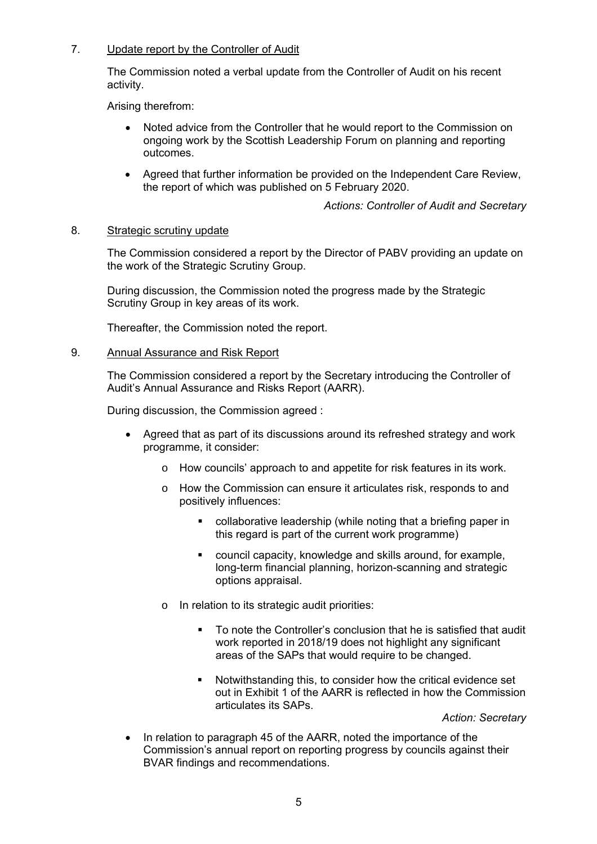# 7. Update report by the Controller of Audit

The Commission noted a verbal update from the Controller of Audit on his recent activity.

Arising therefrom:

- Noted advice from the Controller that he would report to the Commission on ongoing work by the Scottish Leadership Forum on planning and reporting outcomes.
- Agreed that further information be provided on the Independent Care Review, the report of which was published on 5 February 2020.

*Actions: Controller of Audit and Secretary* 

## 8. Strategic scrutiny update

The Commission considered a report by the Director of PABV providing an update on the work of the Strategic Scrutiny Group.

During discussion, the Commission noted the progress made by the Strategic Scrutiny Group in key areas of its work.

Thereafter, the Commission noted the report.

## 9. Annual Assurance and Risk Report

The Commission considered a report by the Secretary introducing the Controller of Audit's Annual Assurance and Risks Report (AARR).

During discussion, the Commission agreed :

- Agreed that as part of its discussions around its refreshed strategy and work programme, it consider:
	- o How councils' approach to and appetite for risk features in its work.
	- o How the Commission can ensure it articulates risk, responds to and positively influences:
		- collaborative leadership (while noting that a briefing paper in this regard is part of the current work programme)
		- council capacity, knowledge and skills around, for example, long-term financial planning, horizon-scanning and strategic options appraisal.
	- o In relation to its strategic audit priorities:
		- To note the Controller's conclusion that he is satisfied that audit work reported in 2018/19 does not highlight any significant areas of the SAPs that would require to be changed.
		- Notwithstanding this, to consider how the critical evidence set out in Exhibit 1 of the AARR is reflected in how the Commission articulates its SAPs.

*Action: Secretary* 

• In relation to paragraph 45 of the AARR, noted the importance of the Commission's annual report on reporting progress by councils against their BVAR findings and recommendations.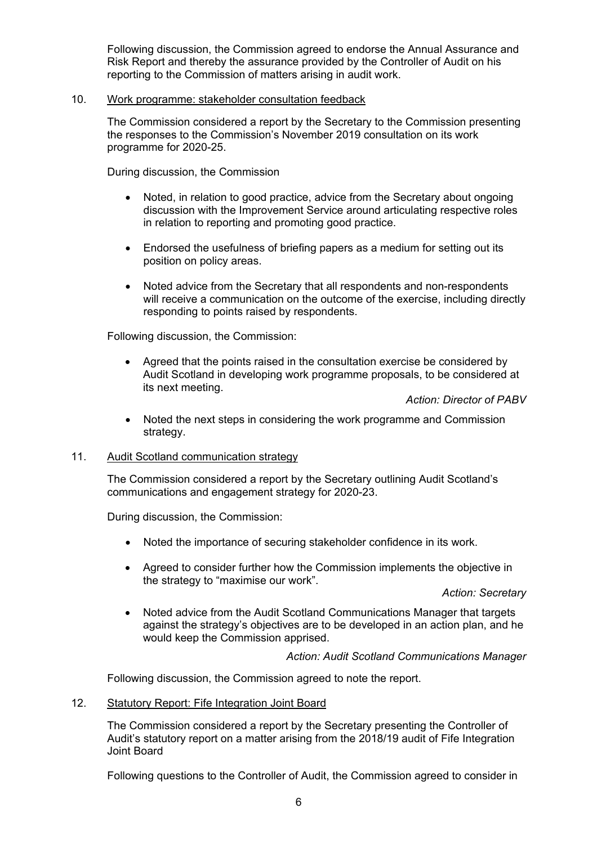Following discussion, the Commission agreed to endorse the Annual Assurance and Risk Report and thereby the assurance provided by the Controller of Audit on his reporting to the Commission of matters arising in audit work.

## 10. Work programme: stakeholder consultation feedback

The Commission considered a report by the Secretary to the Commission presenting the responses to the Commission's November 2019 consultation on its work programme for 2020-25.

During discussion, the Commission

- Noted, in relation to good practice, advice from the Secretary about ongoing discussion with the Improvement Service around articulating respective roles in relation to reporting and promoting good practice.
- Endorsed the usefulness of briefing papers as a medium for setting out its position on policy areas.
- Noted advice from the Secretary that all respondents and non-respondents will receive a communication on the outcome of the exercise, including directly responding to points raised by respondents.

Following discussion, the Commission:

• Agreed that the points raised in the consultation exercise be considered by Audit Scotland in developing work programme proposals, to be considered at its next meeting.

*Action: Director of PABV* 

 Noted the next steps in considering the work programme and Commission strategy.

#### 11. Audit Scotland communication strategy

The Commission considered a report by the Secretary outlining Audit Scotland's communications and engagement strategy for 2020-23.

During discussion, the Commission:

- Noted the importance of securing stakeholder confidence in its work.
- Agreed to consider further how the Commission implements the objective in the strategy to "maximise our work".

*Action: Secretary* 

 Noted advice from the Audit Scotland Communications Manager that targets against the strategy's objectives are to be developed in an action plan, and he would keep the Commission apprised.

*Action: Audit Scotland Communications Manager* 

Following discussion, the Commission agreed to note the report.

12. Statutory Report: Fife Integration Joint Board

The Commission considered a report by the Secretary presenting the Controller of Audit's statutory report on a matter arising from the 2018/19 audit of Fife Integration Joint Board

Following questions to the Controller of Audit, the Commission agreed to consider in